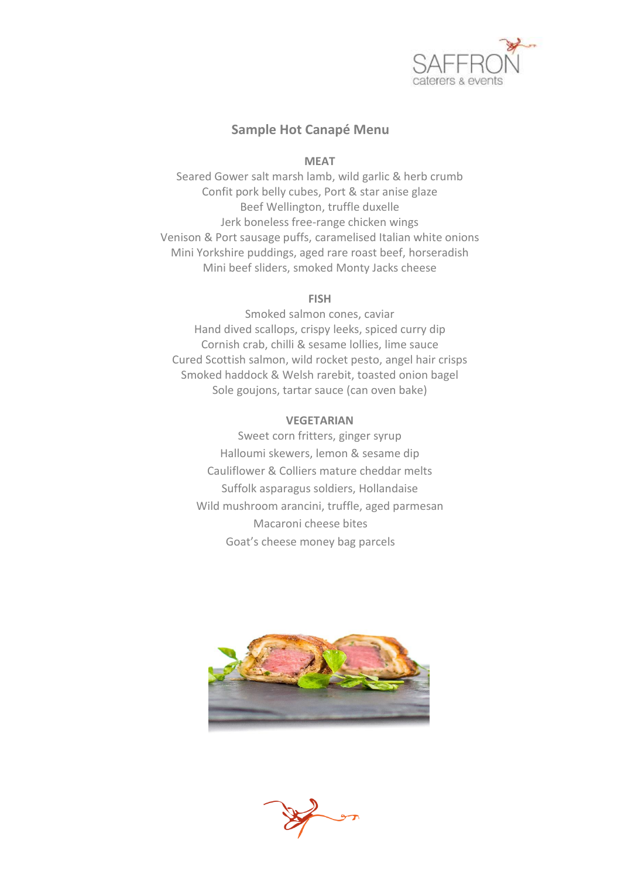

## **Sample Hot Canapé Menu**

## **MEAT**

Seared Gower salt marsh lamb, wild garlic & herb crumb Confit pork belly cubes, Port & star anise glaze Beef Wellington, truffle duxelle Jerk boneless free-range chicken wings Venison & Port sausage puffs, caramelised Italian white onions Mini Yorkshire puddings, aged rare roast beef, horseradish Mini beef sliders, smoked Monty Jacks cheese

## **FISH**

Smoked salmon cones, caviar Hand dived scallops, crispy leeks, spiced curry dip Cornish crab, chilli & sesame lollies, lime sauce Cured Scottish salmon, wild rocket pesto, angel hair crisps Smoked haddock & Welsh rarebit, toasted onion bagel Sole goujons, tartar sauce (can oven bake)

## **VEGETARIAN**

Sweet corn fritters, ginger syrup Halloumi skewers, lemon & sesame dip Cauliflower & Colliers mature cheddar melts Suffolk asparagus soldiers, Hollandaise Wild mushroom arancini, truffle, aged parmesan Macaroni cheese bites Goat's cheese money bag parcels